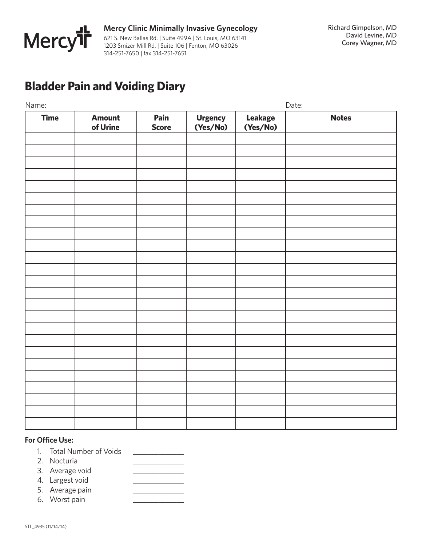

## **Bladder Pain and Voiding Diary**

| Name:       |                           |                      |                     |                     | Date:        |  |
|-------------|---------------------------|----------------------|---------------------|---------------------|--------------|--|
| <b>Time</b> | <b>Amount</b><br>of Urine | Pain<br><b>Score</b> | Urgency<br>(Yes/No) | Leakage<br>(Yes/No) | <b>Notes</b> |  |
|             |                           |                      |                     |                     |              |  |
|             |                           |                      |                     |                     |              |  |
|             |                           |                      |                     |                     |              |  |
|             |                           |                      |                     |                     |              |  |
|             |                           |                      |                     |                     |              |  |
|             |                           |                      |                     |                     |              |  |
|             |                           |                      |                     |                     |              |  |
|             |                           |                      |                     |                     |              |  |
|             |                           |                      |                     |                     |              |  |
|             |                           |                      |                     |                     |              |  |
|             |                           |                      |                     |                     |              |  |
|             |                           |                      |                     |                     |              |  |
|             |                           |                      |                     |                     |              |  |
|             |                           |                      |                     |                     |              |  |
|             |                           |                      |                     |                     |              |  |
|             |                           |                      |                     |                     |              |  |
|             |                           |                      |                     |                     |              |  |
|             |                           |                      |                     |                     |              |  |
|             |                           |                      |                     |                     |              |  |
|             |                           |                      |                     |                     |              |  |
|             |                           |                      |                     |                     |              |  |
|             |                           |                      |                     |                     |              |  |

## **For Office Use:**

- 1. Total Number of Voids \_\_\_\_\_\_\_\_\_\_\_\_\_\_
- 2. Nocturia
- 3. Average void
- 4. Largest void \_\_\_\_\_\_\_\_\_\_\_\_\_\_
- 5. Average pain
- 6. Worst pain